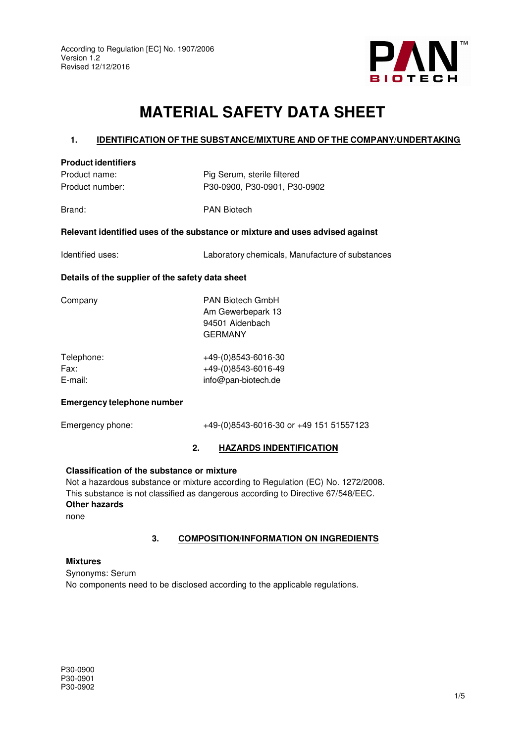

# **MATERIAL SAFETY DATA SHEET**

## **1. IDENTIFICATION OF THE SUBSTANCE/MIXTURE AND OF THE COMPANY/UNDERTAKING**

## **Product identifiers**

Product name: Pig Serum, sterile filtered Product number: P30-0900, P30-0901, P30-0902

Brand: PAN Biotech

## **Relevant identified uses of the substance or mixture and uses advised against**

Identified uses: Laboratory chemicals, Manufacture of substances

## **Details of the supplier of the safety data sheet**

| <b>PAN Biotech GmbH</b><br>Am Gewerbepark 13<br>94501 Aidenbach<br><b>GERMANY</b> |
|-----------------------------------------------------------------------------------|
| +49-(0)8543-6016-30<br>+49-(0)8543-6016-49<br>info@pan-biotech.de                 |
|                                                                                   |

## **Emergency telephone number**

Emergency phone: +49-(0)8543-6016-30 or +49 151 51557123

## **2. HAZARDS INDENTIFICATION**

#### **Classification of the substance or mixture**

Not a hazardous substance or mixture according to Regulation (EC) No. 1272/2008. This substance is not classified as dangerous according to Directive 67/548/EEC. **Other hazards**  none

## **3. COMPOSITION/INFORMATION ON INGREDIENTS**

#### **Mixtures**

Synonyms: Serum No components need to be disclosed according to the applicable regulations.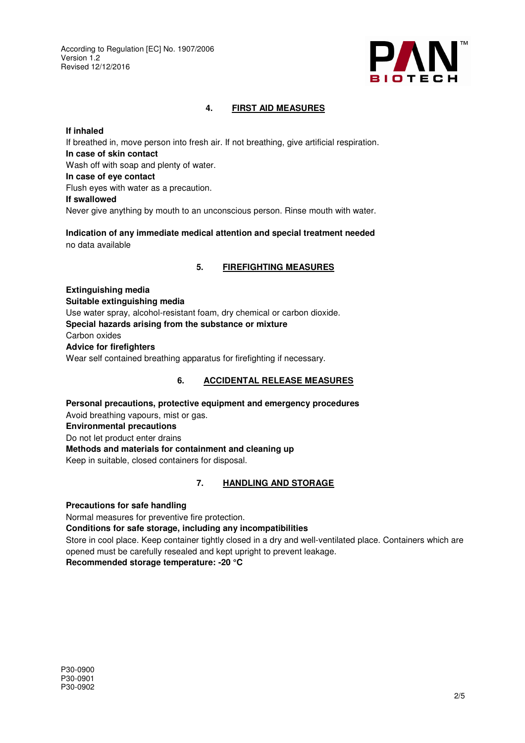

## **4. FIRST AID MEASURES**

## **If inhaled**

If breathed in, move person into fresh air. If not breathing, give artificial respiration. **In case of skin contact**  Wash off with soap and plenty of water. **In case of eye contact**  Flush eyes with water as a precaution. **If swallowed**  Never give anything by mouth to an unconscious person. Rinse mouth with water.

**Indication of any immediate medical attention and special treatment needed**  no data available

## **5. FIREFIGHTING MEASURES**

**Extinguishing media Suitable extinguishing media**  Use water spray, alcohol-resistant foam, dry chemical or carbon dioxide. **Special hazards arising from the substance or mixture**  Carbon oxides **Advice for firefighters**  Wear self contained breathing apparatus for firefighting if necessary.

# **6. ACCIDENTAL RELEASE MEASURES**

**Personal precautions, protective equipment and emergency procedures**  Avoid breathing vapours, mist or gas. **Environmental precautions**  Do not let product enter drains **Methods and materials for containment and cleaning up**  Keep in suitable, closed containers for disposal.

# **7. HANDLING AND STORAGE**

**Precautions for safe handling** 

Normal measures for preventive fire protection.

#### **Conditions for safe storage, including any incompatibilities**

Store in cool place. Keep container tightly closed in a dry and well-ventilated place. Containers which are opened must be carefully resealed and kept upright to prevent leakage.

**Recommended storage temperature: -20 °C**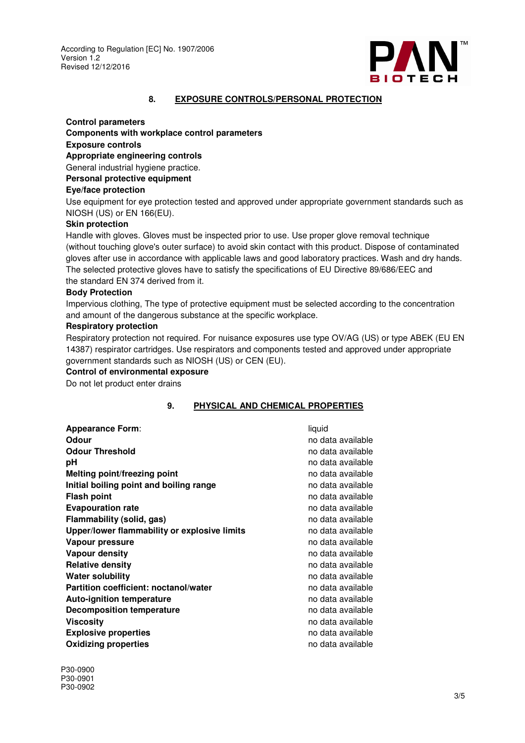

#### **8. EXPOSURE CONTROLS/PERSONAL PROTECTION**

#### **Control parameters**

**Components with workplace control parameters** 

## **Exposure controls**

**Appropriate engineering controls** 

General industrial hygiene practice.

**Personal protective equipment** 

### **Eye/face protection**

Use equipment for eye protection tested and approved under appropriate government standards such as NIOSH (US) or EN 166(EU).

#### **Skin protection**

Handle with gloves. Gloves must be inspected prior to use. Use proper glove removal technique (without touching glove's outer surface) to avoid skin contact with this product. Dispose of contaminated gloves after use in accordance with applicable laws and good laboratory practices. Wash and dry hands. The selected protective gloves have to satisfy the specifications of EU Directive 89/686/EEC and the standard EN 374 derived from it.

#### **Body Protection**

Impervious clothing, The type of protective equipment must be selected according to the concentration and amount of the dangerous substance at the specific workplace.

#### **Respiratory protection**

Respiratory protection not required. For nuisance exposures use type OV/AG (US) or type ABEK (EU EN 14387) respirator cartridges. Use respirators and components tested and approved under appropriate government standards such as NIOSH (US) or CEN (EU).

#### **Control of environmental exposure**

Do not let product enter drains

## **9. PHYSICAL AND CHEMICAL PROPERTIES**

| <b>Appearance Form:</b>                      | liquid            |
|----------------------------------------------|-------------------|
| Odour                                        | no data available |
| <b>Odour Threshold</b>                       | no data available |
| рH                                           | no data available |
| Melting point/freezing point                 | no data available |
| Initial boiling point and boiling range      | no data available |
| <b>Flash point</b>                           | no data available |
| <b>Evapouration rate</b>                     | no data available |
| Flammability (solid, gas)                    | no data available |
| Upper/lower flammability or explosive limits | no data available |
| Vapour pressure                              | no data available |
| Vapour density                               | no data available |
| <b>Relative density</b>                      | no data available |
| <b>Water solubility</b>                      | no data available |
| <b>Partition coefficient: noctanol/water</b> | no data available |
| <b>Auto-ignition temperature</b>             | no data available |
| <b>Decomposition temperature</b>             | no data available |
| Viscositv                                    | no data available |
| <b>Explosive properties</b>                  | no data available |
| <b>Oxidizing properties</b>                  | no data available |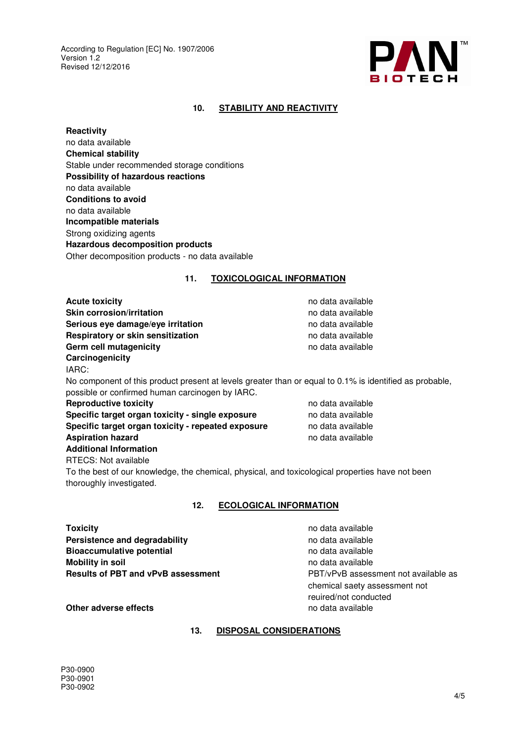

## **10. STABILITY AND REACTIVITY**

**Reactivity**  no data available **Chemical stability**  Stable under recommended storage conditions **Possibility of hazardous reactions**  no data available **Conditions to avoid**  no data available **Incompatible materials**  Strong oxidizing agents **Hazardous decomposition products**  Other decomposition products - no data available

#### **11. TOXICOLOGICAL INFORMATION**

**Acute toxicity no data available no data available Skin corrosion/irritation no data available no data available no data available Serious eye damage/eye irritation no data available no data available Respiratory or skin sensitization no data available Germ cell mutagenicity no data available no data available Carcinogenicity**  IARC: No component of this product present at levels greater than or equal to 0.1% is identified as probable, possible or confirmed human carcinogen by IARC. **Reproductive toxicity no data available no data available Specific target organ toxicity - single exposure** no data available **Specific target organ toxicity - repeated exposure** no data available **Aspiration hazard no access to the access of the available no data available** 

**Additional Information** 

RTECS: Not available

To the best of our knowledge, the chemical, physical, and toxicological properties have not been thoroughly investigated.

#### **12. ECOLOGICAL INFORMATION**

**Toxicity no data available no data available no data available Persistence and degradability no data available no data available Bioaccumulative potential in the set of the set of the set of the set of the set of the set of the set of the set of the set of the set of the set of the set of the set of the set of the set of the set of the set of the s Mobility in soil no data available no data available no data available Results of PBT and vPvB assessment** PBT/vPvB assessment not available as

chemical saety assessment not reuired/not conducted

**Other adverse effects no data available no data available** 

## **13. DISPOSAL CONSIDERATIONS**